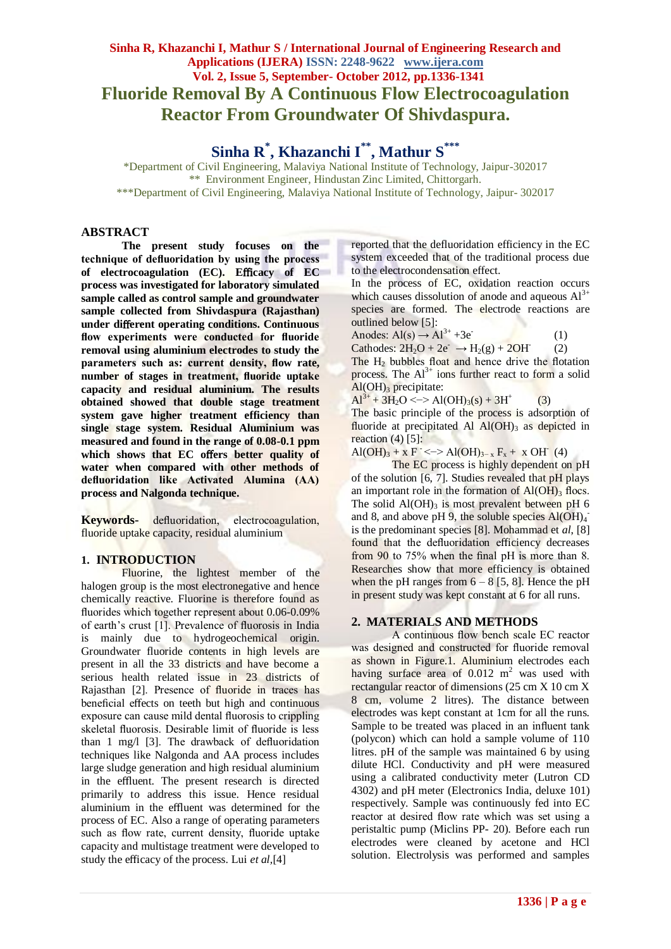# **Sinha R, Khazanchi I, Mathur S / International Journal of Engineering Research and Applications (IJERA) ISSN: 2248-9622 www.ijera.com Vol. 2, Issue 5, September- October 2012, pp.1336-1341 Fluoride Removal By A Continuous Flow Electrocoagulation Reactor From Groundwater Of Shivdaspura.**

**Sinha R\* , Khazanchi I\*\*, Mathur S\*\*\***

\*Department of Civil Engineering, Malaviya National Institute of Technology, Jaipur-302017 \*\* Environment Engineer, Hindustan Zinc Limited, Chittorgarh. \*\*\*Department of Civil Engineering, Malaviya National Institute of Technology, Jaipur- 302017

#### **ABSTRACT**

**The present study focuses on the technique of defluoridation by using the process of electrocoagulation (EC). E**ffi**cacy of EC process was investigated for laboratory simulated sample called as control sample and groundwater sample collected from Shivdaspura (Rajasthan) under di**ff**erent operating conditions. Continuous flow experiments were conducted for fluoride removal using aluminium electrodes to study the parameters such as: current density, flow rate, number of stages in treatment, fluoride uptake capacity and residual aluminium. The results obtained showed that double stage treatment system gave higher treatment efficiency than single stage system. Residual Aluminium was measured and found in the range of 0.08-0.1 ppm**  which shows that EC offers better quality of **water when compared with other methods of defluoridation like Activated Alumina (AA) process and Nalgonda technique.**

**Keywords-** defluoridation, electrocoagulation, fluoride uptake capacity, residual aluminium

### **1. INTRODUCTION**

Fluorine, the lightest member of the halogen group is the most electronegative and hence chemically reactive. Fluorine is therefore found as fluorides which together represent about 0.06-0.09% of earth's crust [1]. Prevalence of fluorosis in India is mainly due to hydrogeochemical origin. Groundwater fluoride contents in high levels are present in all the 33 districts and have become a serious health related issue in 23 districts of Rajasthan [2]. Presence of fluoride in traces has beneficial effects on teeth but high and continuous exposure can cause mild dental fluorosis to crippling skeletal fluorosis. Desirable limit of fluoride is less than 1 mg/l [3]. The drawback of defluoridation techniques like Nalgonda and AA process includes large sludge generation and high residual aluminium in the effluent. The present research is directed primarily to address this issue. Hence residual aluminium in the effluent was determined for the process of EC. Also a range of operating parameters such as flow rate, current density, fluoride uptake capacity and multistage treatment were developed to study the efficacy of the process. Lui *et al,*[4]

reported that the defluoridation efficiency in the EC system exceeded that of the traditional process due to the electrocondensation effect.

In the process of EC, oxidation reaction occurs which causes dissolution of anode and aqueous  $Al^{3+}$ species are formed. The electrode reactions are outlined below [5]:

Anodes:  $Al(s) \rightarrow Al^{3+} +3e^{-}$ (1) Cathodes:  $2H_2O + 2e^- \rightarrow H_2(g) + 2OH$ (2) The  $H_2$  bubbles float and hence drive the flotation process. The  $Al^{3+}$  ions further react to form a solid  $Al(OH)<sub>3</sub>$  precipitate:

 $Al^{3+} + 3H_2O \leq D > Al(OH)_3(s) + 3H^+$ (3)

The basic principle of the process is adsorption of fluoride at precipitated Al  $Al(OH)$ <sub>3</sub> as depicted in reaction  $(4)$  [5]:

 $\text{Al}(\text{OH})_3 + x \text{ F}^- \leftarrow \text{Al}(\text{OH})_{3-x} \text{ F}_x + x \text{ OH}^-(4)$ 

The EC process is highly dependent on pH of the solution [6, 7]. Studies revealed that pH plays an important role in the formation of  $Al(OH)$ <sub>3</sub> flocs. The solid  $AI(OH)_{3}$  is most prevalent between pH 6 and 8, and above pH 9, the soluble species  $Al(OH)_4$ is the predominant species [8]. Mohammad et *al*, [8] found that the defluoridation efficiency decreases from 90 to 75% when the final pH is more than 8. Researches show that more efficiency is obtained when the pH ranges from  $6 - 8$  [5, 8]. Hence the pH in present study was kept constant at 6 for all runs.

### **2. MATERIALS AND METHODS**

A continuous flow bench scale EC reactor was designed and constructed for fluoride removal as shown in Figure.1. Aluminium electrodes each having surface area of  $0.012 \text{ m}^2$  was used with rectangular reactor of dimensions (25 cm X 10 cm X 8 cm, volume 2 litres). The distance between electrodes was kept constant at 1cm for all the runs. Sample to be treated was placed in an influent tank (polycon) which can hold a sample volume of 110 litres. pH of the sample was maintained 6 by using dilute HCl. Conductivity and pH were measured using a calibrated conductivity meter (Lutron CD 4302) and pH meter (Electronics India, deluxe 101) respectively. Sample was continuously fed into EC reactor at desired flow rate which was set using a peristaltic pump (Miclins PP- 20). Before each run electrodes were cleaned by acetone and HCl solution. Electrolysis was performed and samples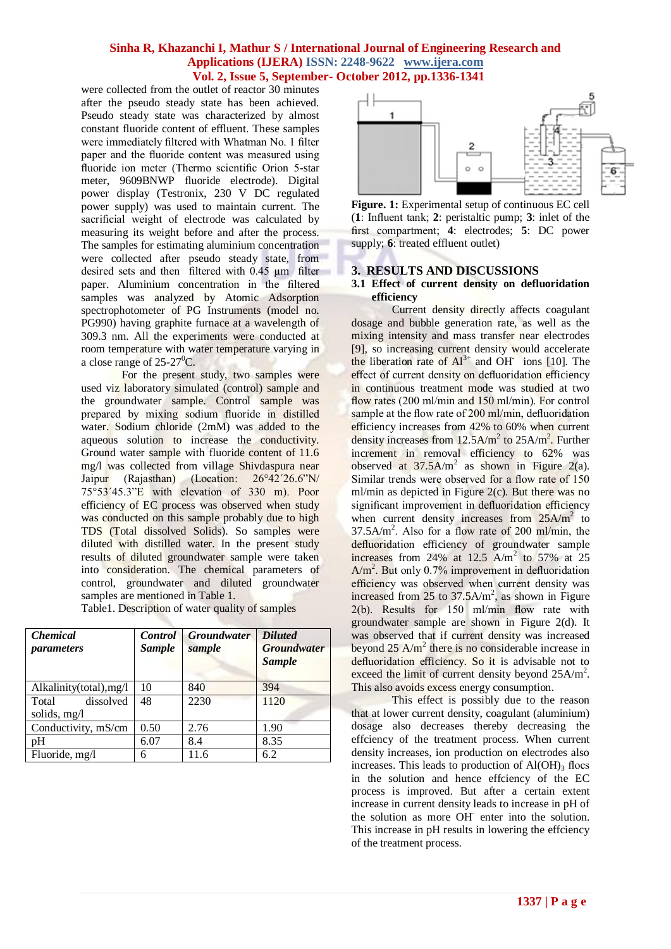were collected from the outlet of reactor 30 minutes after the pseudo steady state has been achieved. Pseudo steady state was characterized by almost constant fluoride content of effluent. These samples were immediately filtered with Whatman No. 1 filter paper and the fluoride content was measured using fluoride ion meter (Thermo scientific Orion 5-star meter, 9609BNWP fluoride electrode). Digital power display (Testronix, 230 V DC regulated power supply) was used to maintain current. The sacrificial weight of electrode was calculated by measuring its weight before and after the process. The samples for estimating aluminium concentration were collected after pseudo steady state, from desired sets and then filtered with 0.45 µm filter paper. Aluminium concentration in the filtered samples was analyzed by Atomic Adsorption spectrophotometer of PG Instruments (model no. PG990) having graphite furnace at a wavelength of 309.3 nm. All the experiments were conducted at room temperature with water temperature varying in a close range of  $25-27^{\circ}$ C.

For the present study, two samples were used viz laboratory simulated (control) sample and the groundwater sample. Control sample was prepared by mixing sodium fluoride in distilled water. Sodium chloride (2mM) was added to the aqueous solution to increase the conductivity. Ground water sample with fluoride content of 11.6 mg/l was collected from village Shivdaspura near Jaipur (Rajasthan) (Location: 26°42´26.6"N/ 75°53´45.3"E with elevation of 330 m). Poor efficiency of EC process was observed when study was conducted on this sample probably due to high TDS (Total dissolved Solids). So samples were diluted with distilled water. In the present study results of diluted groundwater sample were taken into consideration. The chemical parameters of control, groundwater and diluted groundwater samples are mentioned in Table 1.

Table1. Description of water quality of samples

| <i><b>Chemical</b></i><br><i>parameters</i> | <b>Control</b><br><b>Sample</b> | <b>Groundwater</b><br>sample | <b>Diluted</b><br><b>Groundwater</b><br><b>Sample</b> |
|---------------------------------------------|---------------------------------|------------------------------|-------------------------------------------------------|
| Alkalinity(total), mg/l                     | 10                              | 840                          | 394                                                   |
| dissolved<br>Total                          | 48                              | 2230                         | 1120                                                  |
| solids, mg/l                                |                                 |                              |                                                       |
| Conductivity, mS/cm                         | 0.50                            | 2.76                         | 1.90                                                  |
| pH                                          | 6.07                            | 8.4                          | 8.35                                                  |
| Fluoride, mg/l                              | 6                               | 11.6                         | 6.2                                                   |



**Figure. 1:** Experimental setup of continuous EC cell (**1**: Influent tank; **2**: peristaltic pump; **3**: inlet of the first compartment; **4**: electrodes; **5**: DC power supply; **6**: treated effluent outlet)

## **3. RESULTS AND DISCUSSIONS**

#### **3.1 Effect of current density on defluoridation efficiency**

Current density directly affects coagulant dosage and bubble generation rate, as well as the mixing intensity and mass transfer near electrodes [9], so increasing current density would accelerate the liberation rate of  $Al^{3+}$  and OH<sup>-</sup> ions [10]. The effect of current density on defluoridation efficiency in continuous treatment mode was studied at two flow rates (200 ml/min and 150 ml/min). For control sample at the flow rate of 200 ml/min, defluoridation efficiency increases from 42% to 60% when current density increases from  $12.5A/m^2$  to  $25A/m^2$ . Further increment in removal efficiency to 62% was observed at  $37.5$ A/m<sup>2</sup> as shown in Figure 2(a). Similar trends were observed for a flow rate of 150 ml/min as depicted in Figure 2(c). But there was no significant improvement in defluoridation efficiency when current density increases from 25A/m<sup>2</sup> to 37.5A/m<sup>2</sup> . Also for a flow rate of 200 ml/min, the defluoridation efficiency of groundwater sample increases from  $24\%$  at 12.5 A/m<sup>2</sup> to 57% at 25 A/m<sup>2</sup>. But only 0.7% improvement in defluoridation efficiency was observed when current density was increased from  $25$  to  $37.5A/m^2$ , as shown in Figure 2(b). Results for 150 ml/min flow rate with groundwater sample are shown in Figure 2(d). It was observed that if current density was increased beyond  $25$  A/m<sup>2</sup> there is no considerable increase in defluoridation efficiency. So it is advisable not to exceed the limit of current density beyond 25A/m<sup>2</sup>. This also avoids excess energy consumption.

This effect is possibly due to the reason that at lower current density, coagulant (aluminium) dosage also decreases thereby decreasing the effciency of the treatment process. When current density increases, ion production on electrodes also increases. This leads to production of  $AI(OH)$ <sub>3</sub> flocs in the solution and hence effciency of the EC process is improved. But after a certain extent increase in current density leads to increase in pH of the solution as more OH<sup>-</sup> enter into the solution. This increase in pH results in lowering the effciency of the treatment process.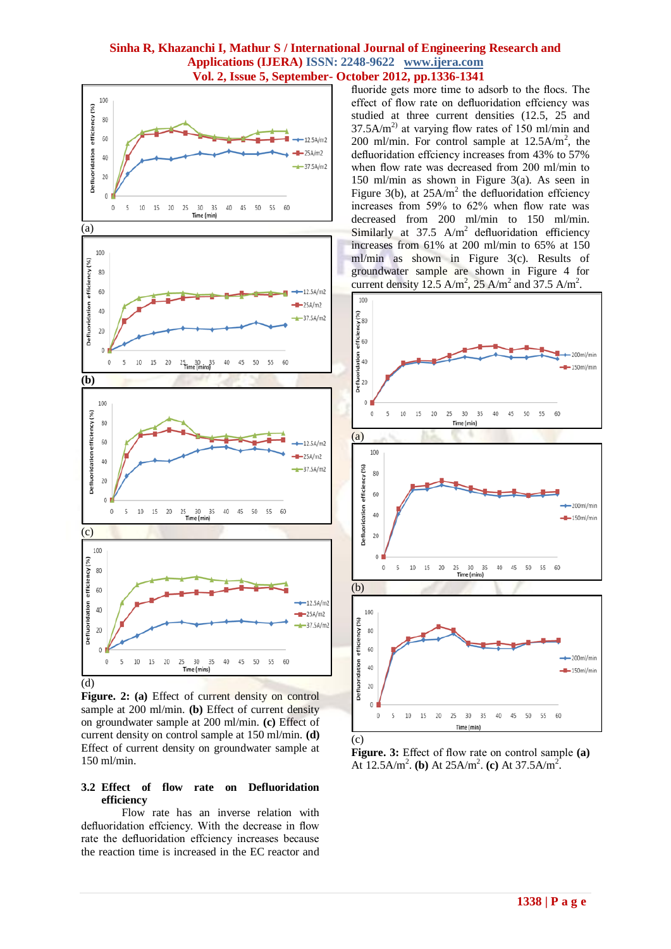

Figure. 2: (a) Effect of current density on control sample at 200 ml/min. **(b)** Effect of current density on groundwater sample at 200 ml/min. **(c)** Effect of current density on control sample at 150 ml/min. **(d)**  Effect of current density on groundwater sample at 150 ml/min.

#### **3.2 Effect of flow rate on Defluoridation efficiency**

Flow rate has an inverse relation with defluoridation effciency. With the decrease in flow rate the defluoridation effciency increases because the reaction time is increased in the EC reactor and fluoride gets more time to adsorb to the flocs. The effect of flow rate on defluoridation effciency was studied at three current densities (12.5, 25 and  $37.5A/m<sup>2</sup>$  at varying flow rates of 150 ml/min and 200 ml/min. For control sample at  $12.5A/m^2$ , the defluoridation effciency increases from 43% to 57% when flow rate was decreased from 200 ml/min to 150 ml/min as shown in Figure 3(a). As seen in Figure 3(b), at  $25A/m^2$  the defluoridation effciency increases from 59% to 62% when flow rate was decreased from 200 ml/min to 150 ml/min. Similarly at  $37.5$  A/m<sup>2</sup> defluoridation efficiency increases from 61% at 200 ml/min to 65% at 150 ml/min as shown in Figure 3(c). Results of groundwater sample are shown in Figure 4 for current density 12.5 A/m<sup>2</sup>, 25 A/m<sup>2</sup> and 37.5 A/m<sup>2</sup>.



**Figure. 3:** Effect of flow rate on control sample **(a)** At  $12.5$ A/m<sup>2</sup>. (b) At  $25$ A/m<sup>2</sup>. (c) At  $37.5$ A/m<sup>2</sup>.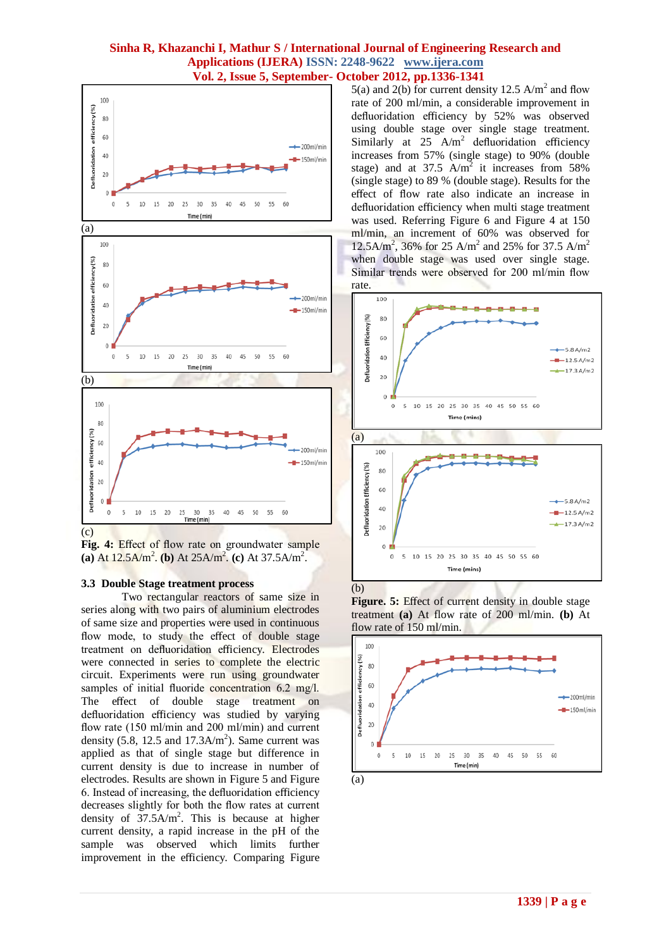

**Fig. 4:** Effect of flow rate on groundwater sample (a) At  $12.5$ A/m<sup>2</sup>. (b) At  $25$ A/m<sup>2</sup>. (c) At  $37.5$ A/m<sup>2</sup>.

#### **3.3 Double Stage treatment process**

Two rectangular reactors of same size in series along with two pairs of aluminium electrodes of same size and properties were used in continuous flow mode, to study the effect of double stage treatment on defluoridation efficiency. Electrodes were connected in series to complete the electric circuit. Experiments were run using groundwater samples of initial fluoride concentration 6.2 mg/l. The effect of double stage treatment on defluoridation efficiency was studied by varying flow rate (150 ml/min and 200 ml/min) and current density  $(5.8, 12.5 \text{ and } 17.3 \text{A/m}^2)$ . Same current was applied as that of single stage but difference in current density is due to increase in number of electrodes. Results are shown in Figure 5 and Figure 6. Instead of increasing, the defluoridation efficiency decreases slightly for both the flow rates at current density of  $37.5A/m^2$ . This is because at higher current density, a rapid increase in the pH of the sample was observed which limits further improvement in the efficiency. Comparing Figure

5(a) and 2(b) for current density 12.5  $A/m<sup>2</sup>$  and flow rate of 200 ml/min, a considerable improvement in defluoridation efficiency by 52% was observed using double stage over single stage treatment. Similarly at 25  $A/m^2$  defluoridation efficiency increases from 57% (single stage) to 90% (double stage) and at  $37.5$  A/m<sup>2</sup> it increases from 58% (single stage) to 89 % (double stage). Results for the effect of flow rate also indicate an increase in defluoridation efficiency when multi stage treatment was used. Referring Figure 6 and Figure 4 at 150 ml/min, an increment of 60% was observed for 12.5A/m<sup>2</sup>, 36% for 25 A/m<sup>2</sup> and 25% for 37.5 A/m<sup>2</sup> when double stage was used over single stage. Similar trends were observed for 200 ml/min flow rate.



**Figure. 5:** Effect of current density in double stage treatment **(a)** At flow rate of 200 ml/min. **(b)** At flow rate of 150 ml/min.

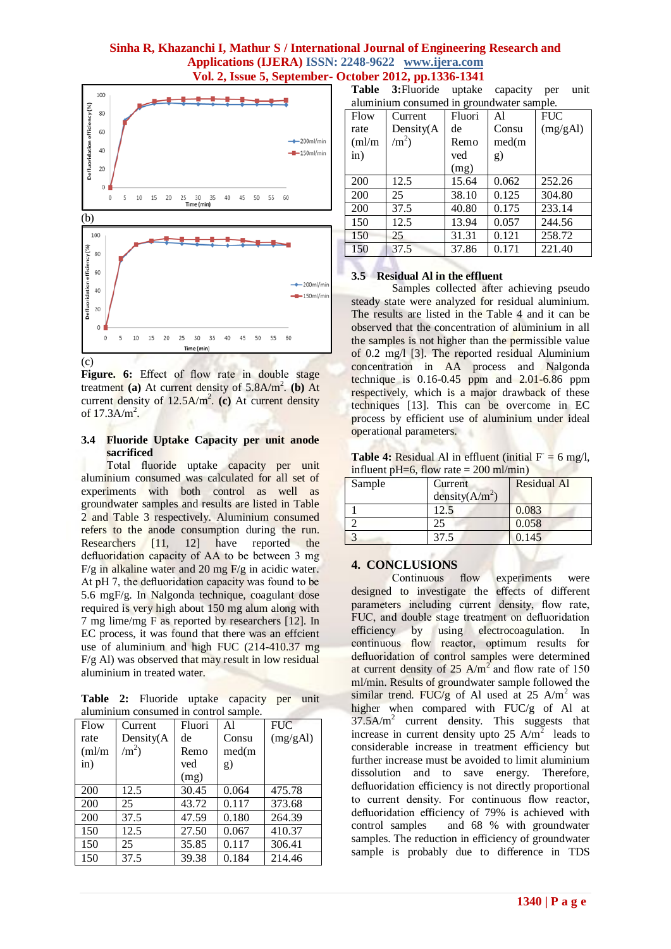

Figure. 6: Effect of flow rate in double stage treatment (a) At current density of 5.8A/m<sup>2</sup>. (b) At current density of 12.5A/m<sup>2</sup>. (c) At current density of  $17.3$ A/m<sup>2</sup>.

#### **3.4 Fluoride Uptake Capacity per unit anode sacrificed**

Total fluoride uptake capacity per unit aluminium consumed was calculated for all set of experiments with both control as well as groundwater samples and results are listed in Table 2 and Table 3 respectively. Aluminium consumed refers to the anode consumption during the run. Researchers [11, 12] have reported the defluoridation capacity of AA to be between 3 mg  $F/g$  in alkaline water and 20 mg  $F/g$  in acidic water. At pH 7, the defluoridation capacity was found to be 5.6 mgF/g. In Nalgonda technique, coagulant dose required is very high about 150 mg alum along with 7 mg lime/mg F as reported by researchers [12]. In EC process, it was found that there was an effcient use of aluminium and high FUC (214-410.37 mg F/g Al) was observed that may result in low residual aluminium in treated water.

**Table 2:** Fluoride uptake capacity per unit aluminium consumed in control sample.

|        |            |        | -- r - |            |
|--------|------------|--------|--------|------------|
| Flow   | Current    | Fluori | Al     | <b>FUC</b> |
| rate   | Density(A  | de     | Consu  | (mg/gAl)   |
| (ml/m) | $\rm /m^2$ | Remo   | med(m  |            |
| in)    |            | ved    | g)     |            |
|        |            | (mg)   |        |            |
| 200    | 12.5       | 30.45  | 0.064  | 475.78     |
| 200    | 25         | 43.72  | 0.117  | 373.68     |
| 200    | 37.5       | 47.59  | 0.180  | 264.39     |
| 150    | 12.5       | 27.50  | 0.067  | 410.37     |
| 150    | 25         | 35.85  | 0.117  | 306.41     |
| 150    | 37.5       | 39.38  | 0.184  | 214.46     |

**Table 3:**Fluoride uptake capacity per unit aluminium consumed in groundwater sample.

| alumnum consumcu in groundwatch sample. |              |        |       |            |
|-----------------------------------------|--------------|--------|-------|------------|
| Flow                                    | Current      | Fluori | Al    | <b>FUC</b> |
| rate                                    | Density(A    | de     | Consu | (mg/gAl)   |
| (ml/m)                                  | $\rm /m^2$ ) | Remo   | med(m |            |
| $\sin)$                                 |              | ved    | g)    |            |
|                                         |              | (mg)   |       |            |
| 200                                     | 12.5         | 15.64  | 0.062 | 252.26     |
| 200                                     | 25           | 38.10  | 0.125 | 304.80     |
| 200                                     | 37.5         | 40.80  | 0.175 | 233.14     |
| 150                                     | 12.5         | 13.94  | 0.057 | 244.56     |
| 150                                     | 25           | 31.31  | 0.121 | 258.72     |
| 150                                     | 37.5         | 37.86  | 0.171 | 221.40     |

## **3.5 Residual Al in the effluent**

Samples collected after achieving pseudo steady state were analyzed for residual aluminium. The results are listed in the Table 4 and it can be observed that the concentration of aluminium in all the samples is not higher than the permissible value of 0.2 mg/l [3]. The reported residual Aluminium concentration in AA process and Nalgonda technique is  $0.16 - 0.45$  ppm and  $2.01 - 6.86$  ppm respectively, which is a major drawback of these techniques [13]. This can be overcome in EC process by efficient use of aluminium under ideal operational parameters.

**Table 4:** Residual Al in effluent (initial  $F = 6$  mg/l, influent pH=6, flow rate =  $200$  ml/min)

| Sample | Current            | <b>Residual Al</b> |
|--------|--------------------|--------------------|
|        | density( $A/m^2$ ) |                    |
|        | 12.5               | 0.083              |
|        | 25                 | 0.058              |
|        | 37.5               | 0.145              |

### **4. CONCLUSIONS**

Continuous flow experiments were designed to investigate the effects of different parameters including current density, flow rate, FUC, and double stage treatment on defluoridation efficiency by using electrocoagulation. In continuous flow reactor, optimum results for defluoridation of control samples were determined at current density of  $25 \text{ A/m}^2$  and flow rate of 150 ml/min. Results of groundwater sample followed the similar trend. FUC/g of Al used at 25  $A/m<sup>2</sup>$  was higher when compared with FUC/g of Al at 37.5A/m<sup>2</sup> current density. This suggests that increase in current density upto  $25$  A/m<sup>2</sup> leads to considerable increase in treatment efficiency but further increase must be avoided to limit aluminium dissolution and to save energy. Therefore, defluoridation efficiency is not directly proportional to current density. For continuous flow reactor, defluoridation efficiency of 79% is achieved with control samples and 68 % with groundwater samples. The reduction in efficiency of groundwater sample is probably due to difference in TDS